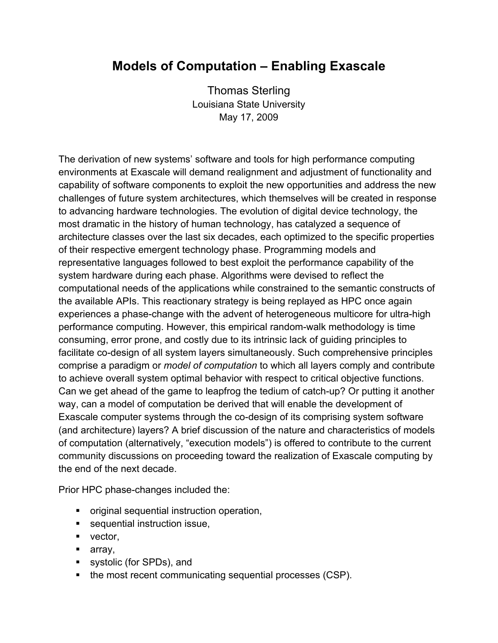## **Models of Computation – Enabling Exascale**

Thomas Sterling Louisiana State University May 17, 2009

The derivation of new systems' software and tools for high performance computing environments at Exascale will demand realignment and adjustment of functionality and capability of software components to exploit the new opportunities and address the new challenges of future system architectures, which themselves will be created in response to advancing hardware technologies. The evolution of digital device technology, the most dramatic in the history of human technology, has catalyzed a sequence of architecture classes over the last six decades, each optimized to the specific properties of their respective emergent technology phase. Programming models and representative languages followed to best exploit the performance capability of the system hardware during each phase. Algorithms were devised to reflect the computational needs of the applications while constrained to the semantic constructs of the available APIs. This reactionary strategy is being replayed as HPC once again experiences a phase-change with the advent of heterogeneous multicore for ultra-high performance computing. However, this empirical random-walk methodology is time consuming, error prone, and costly due to its intrinsic lack of guiding principles to facilitate co-design of all system layers simultaneously. Such comprehensive principles comprise a paradigm or *model of computation* to which all layers comply and contribute to achieve overall system optimal behavior with respect to critical objective functions. Can we get ahead of the game to leapfrog the tedium of catch-up? Or putting it another way, can a model of computation be derived that will enable the development of Exascale computer systems through the co-design of its comprising system software (and architecture) layers? A brief discussion of the nature and characteristics of models of computation (alternatively, "execution models") is offered to contribute to the current community discussions on proceeding toward the realization of Exascale computing by the end of the next decade.

Prior HPC phase-changes included the:

- original sequential instruction operation,
- **sequential instruction issue,**
- vector,
- **array**,
- systolic (for SPDs), and
- the most recent communicating sequential processes (CSP).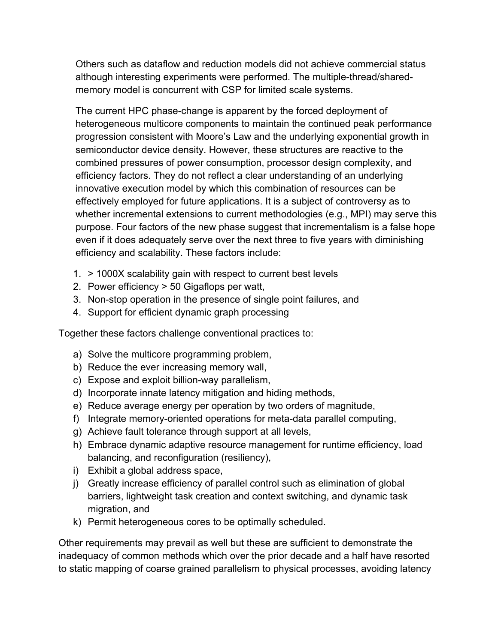Others such as dataflow and reduction models did not achieve commercial status although interesting experiments were performed. The multiple-thread/sharedmemory model is concurrent with CSP for limited scale systems.

The current HPC phase-change is apparent by the forced deployment of heterogeneous multicore components to maintain the continued peak performance progression consistent with Moore's Law and the underlying exponential growth in semiconductor device density. However, these structures are reactive to the combined pressures of power consumption, processor design complexity, and efficiency factors. They do not reflect a clear understanding of an underlying innovative execution model by which this combination of resources can be effectively employed for future applications. It is a subject of controversy as to whether incremental extensions to current methodologies (e.g., MPI) may serve this purpose. Four factors of the new phase suggest that incrementalism is a false hope even if it does adequately serve over the next three to five years with diminishing efficiency and scalability. These factors include:

- 1. > 1000X scalability gain with respect to current best levels
- 2. Power efficiency > 50 Gigaflops per watt,
- 3. Non-stop operation in the presence of single point failures, and
- 4. Support for efficient dynamic graph processing

Together these factors challenge conventional practices to:

- a) Solve the multicore programming problem,
- b) Reduce the ever increasing memory wall,
- c) Expose and exploit billion-way parallelism,
- d) Incorporate innate latency mitigation and hiding methods,
- e) Reduce average energy per operation by two orders of magnitude,
- f) Integrate memory-oriented operations for meta-data parallel computing,
- g) Achieve fault tolerance through support at all levels,
- h) Embrace dynamic adaptive resource management for runtime efficiency, load balancing, and reconfiguration (resiliency),
- i) Exhibit a global address space,
- j) Greatly increase efficiency of parallel control such as elimination of global barriers, lightweight task creation and context switching, and dynamic task migration, and
- k) Permit heterogeneous cores to be optimally scheduled.

Other requirements may prevail as well but these are sufficient to demonstrate the inadequacy of common methods which over the prior decade and a half have resorted to static mapping of coarse grained parallelism to physical processes, avoiding latency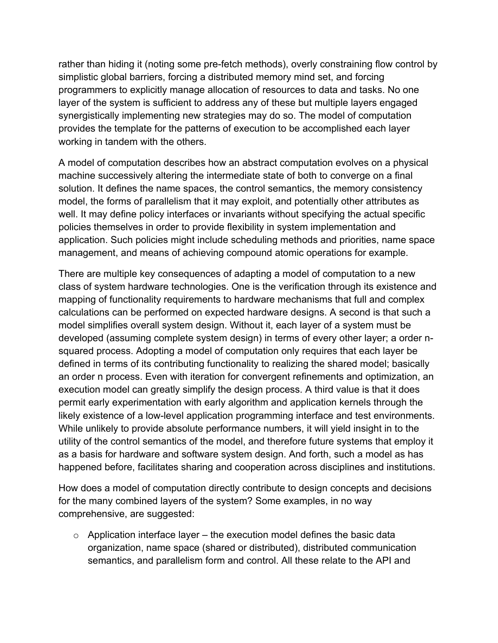rather than hiding it (noting some pre-fetch methods), overly constraining flow control by simplistic global barriers, forcing a distributed memory mind set, and forcing programmers to explicitly manage allocation of resources to data and tasks. No one layer of the system is sufficient to address any of these but multiple layers engaged synergistically implementing new strategies may do so. The model of computation provides the template for the patterns of execution to be accomplished each layer working in tandem with the others.

A model of computation describes how an abstract computation evolves on a physical machine successively altering the intermediate state of both to converge on a final solution. It defines the name spaces, the control semantics, the memory consistency model, the forms of parallelism that it may exploit, and potentially other attributes as well. It may define policy interfaces or invariants without specifying the actual specific policies themselves in order to provide flexibility in system implementation and application. Such policies might include scheduling methods and priorities, name space management, and means of achieving compound atomic operations for example.

There are multiple key consequences of adapting a model of computation to a new class of system hardware technologies. One is the verification through its existence and mapping of functionality requirements to hardware mechanisms that full and complex calculations can be performed on expected hardware designs. A second is that such a model simplifies overall system design. Without it, each layer of a system must be developed (assuming complete system design) in terms of every other layer; a order nsquared process. Adopting a model of computation only requires that each layer be defined in terms of its contributing functionality to realizing the shared model; basically an order n process. Even with iteration for convergent refinements and optimization, an execution model can greatly simplify the design process. A third value is that it does permit early experimentation with early algorithm and application kernels through the likely existence of a low-level application programming interface and test environments. While unlikely to provide absolute performance numbers, it will yield insight in to the utility of the control semantics of the model, and therefore future systems that employ it as a basis for hardware and software system design. And forth, such a model as has happened before, facilitates sharing and cooperation across disciplines and institutions.

How does a model of computation directly contribute to design concepts and decisions for the many combined layers of the system? Some examples, in no way comprehensive, are suggested:

 $\circ$  Application interface layer – the execution model defines the basic data organization, name space (shared or distributed), distributed communication semantics, and parallelism form and control. All these relate to the API and